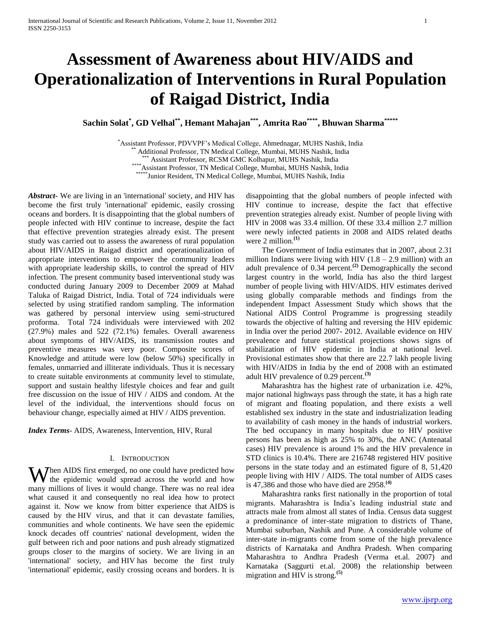# **Assessment of Awareness about HIV/AIDS and Operationalization of Interventions in Rural Population of Raigad District, India**

**Sachin Solat\* , GD Velhal\*\*, Hemant Mahajan\*\*\*, Amrita Rao\*\*\*\*, Bhuwan Sharma\*\*\*\*\***

\*Assistant Professor, PDVVPF"s Medical College, Ahmednagar, MUHS Nashik, India \*\* Additional Professor, TN Medical College, Mumbai, MUHS Nashik, India  $*$  Assistant Professor, RCSM GMC Kolhapur, MUHS Nashik, India \*\*\*\*Assistant Professor, TN Medical College, Mumbai, MUHS Nashik, India \*Junior Resident, TN Medical College, Mumbai, MUHS Nashik, India

*Abstract***-** We are living in an 'international' society, and HIV has become the first truly 'international' epidemic, easily crossing oceans and borders. It is disappointing that the global numbers of people infected with HIV continue to increase, despite the fact that effective prevention strategies already exist. The present study was carried out to assess the awareness of rural population about HIV/AIDS in Raigad district and operationalization of appropriate interventions to empower the community leaders with appropriate leadership skills, to control the spread of HIV infection. The present community based interventional study was conducted during January 2009 to December 2009 at Mahad Taluka of Raigad District, India. Total of 724 individuals were selected by using stratified random sampling. The information was gathered by personal interview using semi-structured proforma. Total 724 individuals were interviewed with 202 (27.9%) males and 522 (72.1%) females. Overall awareness about symptoms of HIV/AIDS, its transmission routes and preventive measures was very poor. Composite scores of Knowledge and attitude were low (below 50%) specifically in females, unmarried and illiterate individuals. Thus it is necessary to create suitable environments at community level to stimulate, support and sustain healthy lifestyle choices and fear and guilt free discussion on the issue of HIV / AIDS and condom. At the level of the individual, the interventions should focus on behaviour change, especially aimed at HIV / AIDS prevention.

*Index Terms*- AIDS, Awareness, Intervention, HIV, Rural

## I. INTRODUCTION

When AIDS first emerged, no one could have predicted how the epidemic would spread across the world and how the epidemic would spread across the world and how many millions of lives it would change. There was no real idea what caused it and consequently no real idea how to protect against it. Now we know from bitter experience that AIDS is caused by the HIV virus, and that it can devastate families, communities and whole continents. We have seen the epidemic knock decades off countries' national development, widen the gulf between rich and poor nations and push already stigmatized groups closer to the margins of society. We are living in an 'international' society, and HIV has become the first truly 'international' epidemic, easily crossing oceans and borders. It is

disappointing that the global numbers of people infected with HIV continue to increase, despite the fact that effective prevention strategies already exist. Number of people living with HIV in 2008 was 33.4 million. Of these 33.4 million 2.7 million were newly infected patients in 2008 and AIDS related deaths were 2 million.**(1)**

 The Government of India estimates that in 2007, about 2.31 million Indians were living with HIV  $(1.8 - 2.9$  million) with an adult prevalence of 0.34 percent.**(2)** Demographically the second largest country in the world, India has also the third largest number of people living with HIV/AIDS. HIV estimates derived using globally comparable methods and findings from the independent Impact Assessment Study which shows that the National AIDS Control Programme is progressing steadily towards the objective of halting and reversing the HIV epidemic in India over the period 2007- 2012. Available evidence on HIV prevalence and future statistical projections shows signs of stabilization of HIV epidemic in India at national level. Provisional estimates show that there are 22.7 lakh people living with HIV/AIDS in India by the end of 2008 with an estimated adult HIV prevalence of 0.29 percent.**(3)**

 Maharashtra has the highest rate of urbanization i.e. 42%, major national highways pass through the state, it has a high rate of migrant and floating population, and there exists a well established sex industry in the state and industrialization leading to availability of cash money in the hands of industrial workers. The bed occupancy in many hospitals due to HIV positive persons has been as high as 25% to 30%, the ANC (Antenatal cases) HIV prevalence is around 1% and the HIV prevalence in STD clinics is 10.4%. There are 216748 registered HIV positive persons in the state today and an estimated figure of 8, 51,420 people living with HIV / AIDS. The total number of AIDS cases is 47,386 and those who have died are 2958.**(4)**

 Maharashtra ranks first nationally in the proportion of total migrants. Maharashtra is India"s leading industrial state and attracts male from almost all states of India. Census data suggest a predominance of inter-state migration to districts of Thane, Mumbai suburban, Nashik and Pune. A considerable volume of inter-state in-migrants come from some of the high prevalence districts of Karnataka and Andhra Pradesh. When comparing Maharashtra to Andhra Pradesh (Verma et.al. 2007) and Karnataka (Saggurti et.al. 2008) the relationship between migration and HIV is strong.**(5)**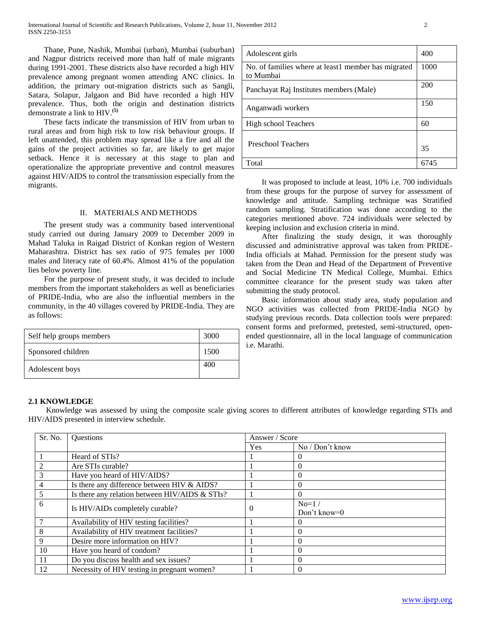Thane, Pune, Nashik, Mumbai (urban), Mumbai (suburban) and Nagpur districts received more than half of male migrants during 1991-2001. These districts also have recorded a high HIV prevalence among pregnant women attending ANC clinics. In addition, the primary out-migration districts such as Sangli, Satara, Solapur, Jalgaon and Bid have recorded a high HIV prevalence. Thus, both the origin and destination districts demonstrate a link to HIV.**(5)**

 These facts indicate the transmission of HIV from urban to rural areas and from high risk to low risk behaviour groups. If left unattended, this problem may spread like a fire and all the gains of the project activities so far, are likely to get major setback. Hence it is necessary at this stage to plan and operationalize the appropriate preventive and control measures against HIV/AIDS to control the transmission especially from the migrants.

#### II. MATERIALS AND METHODS

 The present study was a community based interventional study carried out during January 2009 to December 2009 in Mahad Taluka in Raigad District of Konkan region of Western Maharashtra. District has sex ratio of 975 females per 1000 males and literacy rate of 60.4%. Almost 41% of the population lies below poverty line.

 For the purpose of present study, it was decided to include members from the important stakeholders as well as beneficiaries of PRIDE-India, who are also the influential members in the community, in the 40 villages covered by PRIDE-India. They are as follows:

| Self help groups members | 3000 |
|--------------------------|------|
| Sponsored children       | 1500 |
| Adolescent boys          | 400  |

| Adolescent girls                                                 | 400  |
|------------------------------------------------------------------|------|
| No. of families where at least1 member has migrated<br>to Mumbai | 1000 |
| Panchayat Raj Institutes members (Male)                          | 200  |
| Anganwadi workers                                                | 150  |
| High school Teachers                                             | 60   |
| Preschool Teachers                                               | 35   |
| Total                                                            |      |

 It was proposed to include at least, 10% i.e. 700 individuals from these groups for the purpose of survey for assessment of knowledge and attitude. Sampling technique was Stratified random sampling. Stratification was done according to the categories mentioned above. 724 individuals were selected by keeping inclusion and exclusion criteria in mind.

 After finalizing the study design, it was thoroughly discussed and administrative approval was taken from PRIDE-India officials at Mahad. Permission for the present study was taken from the Dean and Head of the Department of Preventive and Social Medicine TN Medical College, Mumbai. Ethics committee clearance for the present study was taken after submitting the study protocol.

 Basic information about study area, study population and NGO activities was collected from PRIDE-India NGO by studying previous records. Data collection tools were prepared: consent forms and preformed, pretested, semi-structured, openended questionnaire, all in the local language of communication i.e. Marathi.

#### **2.1 KNOWLEDGE**

 Knowledge was assessed by using the composite scale giving scores to different attributes of knowledge regarding STIs and HIV/AIDS presented in interview schedule.

| Sr. No. | Questions                                      | Answer / Score |                 |
|---------|------------------------------------------------|----------------|-----------------|
|         |                                                | <b>Yes</b>     | No / Don't know |
|         | Heard of STIs?                                 |                | 0               |
|         | Are STIs curable?                              |                | $\theta$        |
|         | Have you heard of HIV/AIDS?                    |                | $\Omega$        |
| 4       | Is there any difference between HIV & AIDS?    |                | $\Omega$        |
|         | Is there any relation between HIV/AIDS & STIs? |                | $\theta$        |
| 6       |                                                |                | $No=1/$         |
|         | Is HIV/AIDs completely curable?                | $\theta$       | Don't know=0    |
|         | Availability of HIV testing facilities?        |                | $\Omega$        |
| 8       | Availability of HIV treatment facilities?      |                | $\theta$        |
| 9       | Desire more information on HIV?                |                | $\overline{0}$  |
| 10      | Have you heard of condom?                      |                | $\Omega$        |
| 11      | Do you discuss health and sex issues?          |                | $\theta$        |
| 12      | Necessity of HIV testing in pregnant women?    |                | $\theta$        |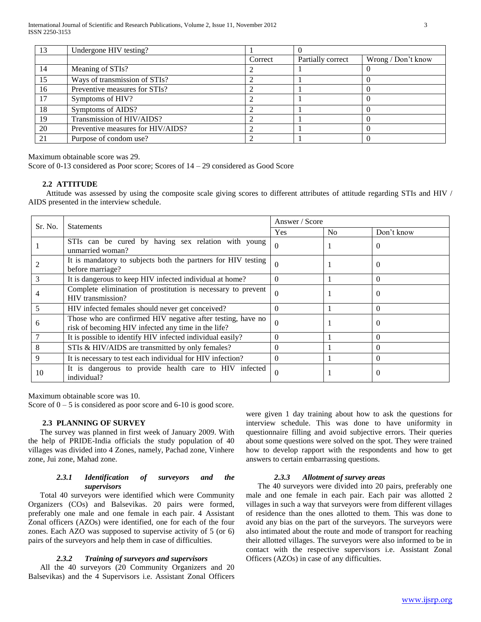| 13 | Undergone HIV testing?            |         |                   |                    |
|----|-----------------------------------|---------|-------------------|--------------------|
|    |                                   | Correct | Partially correct | Wrong / Don't know |
| 14 | Meaning of STIs?                  |         |                   |                    |
| 15 | Ways of transmission of STIs?     |         |                   |                    |
| 16 | Preventive measures for STIs?     |         |                   |                    |
| 17 | Symptoms of HIV?                  |         |                   |                    |
| 18 | Symptoms of AIDS?                 |         |                   |                    |
| 19 | Transmission of HIV/AIDS?         |         |                   |                    |
| 20 | Preventive measures for HIV/AIDS? |         |                   |                    |
| 21 | Purpose of condom use?            |         |                   |                    |

Maximum obtainable score was 29.

Score of 0-13 considered as Poor score; Scores of 14 – 29 considered as Good Score

#### **2.2 ATTITUDE**

 Attitude was assessed by using the composite scale giving scores to different attributes of attitude regarding STIs and HIV / AIDS presented in the interview schedule.

| Sr. No. | <b>Statements</b>                                                                                                  | Answer / Score |                |            |
|---------|--------------------------------------------------------------------------------------------------------------------|----------------|----------------|------------|
|         |                                                                                                                    | Yes            | N <sub>0</sub> | Don't know |
|         | STIs can be cured by having sex relation with young<br>unmarried woman?                                            | $\Omega$       |                | $\theta$   |
|         | It is mandatory to subjects both the partners for HIV testing<br>before marriage?                                  | $\Omega$       |                | 0          |
|         | It is dangerous to keep HIV infected individual at home?                                                           | $\Omega$       |                | 0          |
|         | Complete elimination of prostitution is necessary to prevent<br>HIV transmission?                                  | $\Omega$       |                | $\theta$   |
|         | HIV infected females should never get conceived?                                                                   | $\Omega$       |                | $\theta$   |
| 6       | Those who are confirmed HIV negative after testing, have no<br>risk of becoming HIV infected any time in the life? | $\theta$       |                | 0          |
|         | It is possible to identify HIV infected individual easily?                                                         | $\theta$       |                | $\theta$   |
| 8       | STIs & HIV/AIDS are transmitted by only females?                                                                   |                |                | 0          |
| 9       | It is necessary to test each individual for HIV infection?                                                         | $\Omega$       |                | 0          |
| 10      | It is dangerous to provide health care to HIV infected<br>individual?                                              | $\theta$       |                | $\theta$   |

Maximum obtainable score was 10.

Score of  $0 - 5$  is considered as poor score and 6-10 is good score.

## **2.3 PLANNING OF SURVEY**

 The survey was planned in first week of January 2009. With the help of PRIDE-India officials the study population of 40 villages was divided into 4 Zones, namely, Pachad zone, Vinhere zone, Jui zone, Mahad zone.

## *2.3.1 Identification of surveyors and the supervisors*

 Total 40 surveyors were identified which were Community Organizers (COs) and Balsevikas. 20 pairs were formed, preferably one male and one female in each pair. 4 Assistant Zonal officers (AZOs) were identified, one for each of the four zones. Each AZO was supposed to supervise activity of 5 (or 6) pairs of the surveyors and help them in case of difficulties.

#### *2.3.2 Training of surveyors and supervisors*

 All the 40 surveyors (20 Community Organizers and 20 Balsevikas) and the 4 Supervisors i.e. Assistant Zonal Officers were given 1 day training about how to ask the questions for interview schedule. This was done to have uniformity in questionnaire filling and avoid subjective errors. Their queries about some questions were solved on the spot. They were trained how to develop rapport with the respondents and how to get answers to certain embarrassing questions.

## *2.3.3 Allotment of survey areas*

 The 40 surveyors were divided into 20 pairs, preferably one male and one female in each pair. Each pair was allotted 2 villages in such a way that surveyors were from different villages of residence than the ones allotted to them. This was done to avoid any bias on the part of the surveyors. The surveyors were also intimated about the route and mode of transport for reaching their allotted villages. The surveyors were also informed to be in contact with the respective supervisors i.e. Assistant Zonal Officers (AZOs) in case of any difficulties.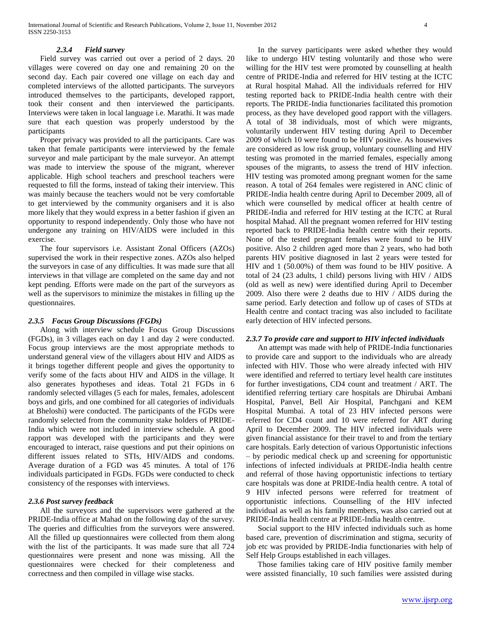#### *2.3.4 Field survey*

 Field survey was carried out over a period of 2 days. 20 villages were covered on day one and remaining 20 on the second day. Each pair covered one village on each day and completed interviews of the allotted participants. The surveyors introduced themselves to the participants, developed rapport, took their consent and then interviewed the participants. Interviews were taken in local language i.e. Marathi. It was made sure that each question was properly understood by the participants

 Proper privacy was provided to all the participants. Care was taken that female participants were interviewed by the female surveyor and male participant by the male surveyor. An attempt was made to interview the spouse of the migrant, wherever applicable. High school teachers and preschool teachers were requested to fill the forms, instead of taking their interview. This was mainly because the teachers would not be very comfortable to get interviewed by the community organisers and it is also more likely that they would express in a better fashion if given an opportunity to respond independently. Only those who have not undergone any training on HIV/AIDS were included in this exercise.

 The four supervisors i.e. Assistant Zonal Officers (AZOs) supervised the work in their respective zones. AZOs also helped the surveyors in case of any difficulties. It was made sure that all interviews in that village are completed on the same day and not kept pending. Efforts were made on the part of the surveyors as well as the supervisors to minimize the mistakes in filling up the questionnaires.

#### *2.3.5 Focus Group Discussions (FGDs)*

 Along with interview schedule Focus Group Discussions (FGDs), in 3 villages each on day 1 and day 2 were conducted. Focus group interviews are the most appropriate methods to understand general view of the villagers about HIV and AIDS as it brings together different people and gives the opportunity to verify some of the facts about HIV and AIDS in the village. It also generates hypotheses and ideas. Total 21 FGDs in 6 randomly selected villages (5 each for males, females, adolescent boys and girls, and one combined for all categories of individuals at Bheloshi) were conducted. The participants of the FGDs were randomly selected from the community stake holders of PRIDE-India which were not included in interview schedule. A good rapport was developed with the participants and they were encouraged to interact, raise questions and put their opinions on different issues related to STIs, HIV/AIDS and condoms. Average duration of a FGD was 45 minutes. A total of 176 individuals participated in FGDs. FGDs were conducted to check consistency of the responses with interviews.

#### *2.3.6 Post survey feedback*

 All the surveyors and the supervisors were gathered at the PRIDE-India office at Mahad on the following day of the survey. The queries and difficulties from the surveyors were answered. All the filled up questionnaires were collected from them along with the list of the participants. It was made sure that all 724 questionnaires were present and none was missing. All the questionnaires were checked for their completeness and correctness and then compiled in village wise stacks.

 In the survey participants were asked whether they would like to undergo HIV testing voluntarily and those who were willing for the HIV test were promoted by counselling at health centre of PRIDE-India and referred for HIV testing at the ICTC at Rural hospital Mahad. All the individuals referred for HIV testing reported back to PRIDE-India health centre with their reports. The PRIDE-India functionaries facilitated this promotion process, as they have developed good rapport with the villagers. A total of 38 individuals, most of which were migrants, voluntarily underwent HIV testing during April to December 2009 of which 10 were found to be HIV positive. As housewives are considered as low risk group, voluntary counselling and HIV testing was promoted in the married females, especially among spouses of the migrants, to assess the trend of HIV infection. HIV testing was promoted among pregnant women for the same reason. A total of 264 females were registered in ANC clinic of PRIDE-India health centre during April to December 2009, all of which were counselled by medical officer at health centre of PRIDE-India and referred for HIV testing at the ICTC at Rural hospital Mahad. All the pregnant women referred for HIV testing reported back to PRIDE-India health centre with their reports. None of the tested pregnant females were found to be HIV positive. Also 2 children aged more than 2 years, who had both parents HIV positive diagnosed in last 2 years were tested for HIV and 1 (50.00%) of them was found to be HIV positive. A total of 24 (23 adults, 1 child) persons living with HIV / AIDS (old as well as new) were identified during April to December 2009. Also there were 2 deaths due to HIV / AIDS during the same period. Early detection and follow up of cases of STDs at Health centre and contact tracing was also included to facilitate early detection of HIV infected persons.

#### *2.3.7 To provide care and support to HIV infected individuals*

 An attempt was made with help of PRIDE-India functionaries to provide care and support to the individuals who are already infected with HIV. Those who were already infected with HIV were identified and referred to tertiary level health care institutes for further investigations, CD4 count and treatment / ART. The identified referring tertiary care hospitals are Dhirubai Ambani Hospital, Panvel, Bell Air Hospital, Panchgani and KEM Hospital Mumbai. A total of 23 HIV infected persons were referred for CD4 count and 10 were referred for ART during April to December 2009. The HIV infected individuals were given financial assistance for their travel to and from the tertiary care hospitals. Early detection of various Opportunistic infections – by periodic medical check up and screening for opportunistic infections of infected individuals at PRIDE-India health centre and referral of those having opportunistic infections to tertiary care hospitals was done at PRIDE-India health centre. A total of 9 HIV infected persons were referred for treatment of opportunistic infections. Counselling of the HIV infected individual as well as his family members, was also carried out at PRIDE-India health centre at PRIDE-India health centre.

 Social support to the HIV infected individuals such as home based care, prevention of discrimination and stigma, security of job etc was provided by PRIDE-India functionaries with help of Self Help Groups established in each villages.

 Those families taking care of HIV positive family member were assisted financially, 10 such families were assisted during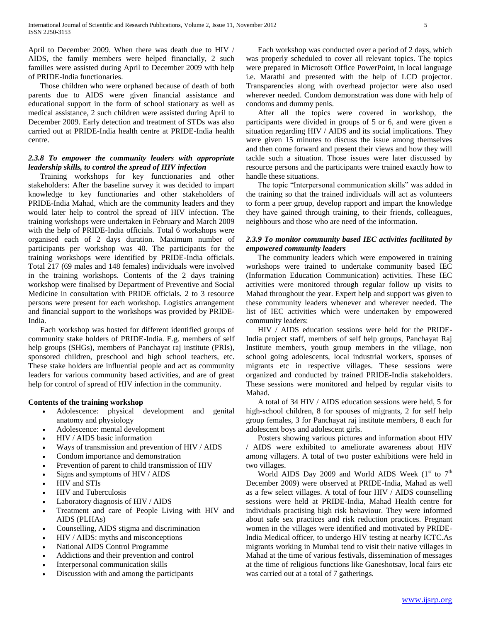April to December 2009. When there was death due to HIV / AIDS, the family members were helped financially, 2 such families were assisted during April to December 2009 with help of PRIDE-India functionaries.

 Those children who were orphaned because of death of both parents due to AIDS were given financial assistance and educational support in the form of school stationary as well as medical assistance, 2 such children were assisted during April to December 2009. Early detection and treatment of STDs was also carried out at PRIDE-India health centre at PRIDE-India health centre.

## *2.3.8 To empower the community leaders with appropriate leadership skills, to control the spread of HIV infection*

 Training workshops for key functionaries and other stakeholders: After the baseline survey it was decided to impart knowledge to key functionaries and other stakeholders of PRIDE-India Mahad, which are the community leaders and they would later help to control the spread of HIV infection. The training workshops were undertaken in February and March 2009 with the help of PRIDE-India officials. Total 6 workshops were organised each of 2 days duration. Maximum number of participants per workshop was 40. The participants for the training workshops were identified by PRIDE-India officials. Total 217 (69 males and 148 females) individuals were involved in the training workshops. Contents of the 2 days training workshop were finalised by Department of Preventive and Social Medicine in consultation with PRIDE officials. 2 to 3 resource persons were present for each workshop. Logistics arrangement and financial support to the workshops was provided by PRIDE-India.

 Each workshop was hosted for different identified groups of community stake holders of PRIDE-India. E.g. members of self help groups (SHGs), members of Panchayat raj institute (PRIs), sponsored children, preschool and high school teachers, etc. These stake holders are influential people and act as community leaders for various community based activities, and are of great help for control of spread of HIV infection in the community.

## **Contents of the training workshop**

- Adolescence: physical development and genital anatomy and physiology
- Adolescence: mental development
- HIV / AIDS basic information
- Ways of transmission and prevention of HIV / AIDS
- Condom importance and demonstration
- Prevention of parent to child transmission of HIV
- Signs and symptoms of HIV / AIDS
- HIV and STIs
- HIV and Tuberculosis
- Laboratory diagnosis of HIV / AIDS
- Treatment and care of People Living with HIV and AIDS (PLHAs)
- Counselling, AIDS stigma and discrimination
- HIV / AIDS: myths and misconceptions
- National AIDS Control Programme
- Addictions and their prevention and control
- Interpersonal communication skills
- Discussion with and among the participants

 Each workshop was conducted over a period of 2 days, which was properly scheduled to cover all relevant topics. The topics were prepared in Microsoft Office PowerPoint, in local language i.e. Marathi and presented with the help of LCD projector. Transparencies along with overhead projector were also used wherever needed. Condom demonstration was done with help of condoms and dummy penis.

 After all the topics were covered in workshop, the participants were divided in groups of 5 or 6, and were given a situation regarding HIV / AIDS and its social implications. They were given 15 minutes to discuss the issue among themselves and then come forward and present their views and how they will tackle such a situation. Those issues were later discussed by resource persons and the participants were trained exactly how to handle these situations.

 The topic "Interpersonal communication skills" was added in the training so that the trained individuals will act as volunteers to form a peer group, develop rapport and impart the knowledge they have gained through training, to their friends, colleagues, neighbours and those who are need of the information.

## *2.3.9 To monitor community based IEC activities facilitated by empowered community leaders*

 The community leaders which were empowered in training workshops were trained to undertake community based IEC (Information Education Communication) activities. These IEC activities were monitored through regular follow up visits to Mahad throughout the year. Expert help and support was given to these community leaders whenever and wherever needed. The list of IEC activities which were undertaken by empowered community leaders:

 HIV / AIDS education sessions were held for the PRIDE-India project staff, members of self help groups, Panchayat Raj Institute members, youth group members in the village, non school going adolescents, local industrial workers, spouses of migrants etc in respective villages. These sessions were organized and conducted by trained PRIDE-India stakeholders. These sessions were monitored and helped by regular visits to Mahad.

 A total of 34 HIV / AIDS education sessions were held, 5 for high-school children, 8 for spouses of migrants, 2 for self help group females, 3 for Panchayat raj institute members, 8 each for adolescent boys and adolescent girls.

 Posters showing various pictures and information about HIV / AIDS were exhibited to ameliorate awareness about HIV among villagers. A total of two poster exhibitions were held in two villages.

World AIDS Day 2009 and World AIDS Week  $(1<sup>st</sup>$  to  $7<sup>th</sup>$ December 2009) were observed at PRIDE-India, Mahad as well as a few select villages. A total of four HIV / AIDS counselling sessions were held at PRIDE-India, Mahad Health centre for individuals practising high risk behaviour. They were informed about safe sex practices and risk reduction practices. Pregnant women in the villages were identified and motivated by PRIDE-India Medical officer, to undergo HIV testing at nearby ICTC.As migrants working in Mumbai tend to visit their native villages in Mahad at the time of various festivals, dissemination of messages at the time of religious functions like Ganeshotsav, local fairs etc was carried out at a total of 7 gatherings.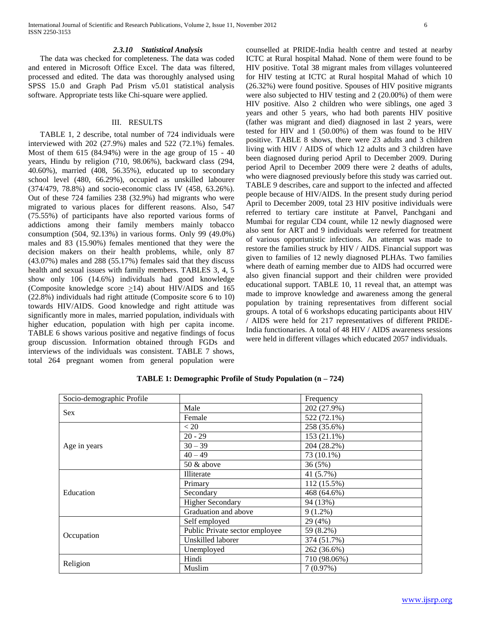#### *2.3.10 Statistical Analysis*

 The data was checked for completeness. The data was coded and entered in Microsoft Office Excel. The data was filtered, processed and edited. The data was thoroughly analysed using SPSS 15.0 and Graph Pad Prism v5.01 statistical analysis software. Appropriate tests like Chi-square were applied.

#### III. RESULTS

 TABLE 1, 2 describe, total number of 724 individuals were interviewed with 202 (27.9%) males and 522 (72.1%) females. Most of them 615 (84.94%) were in the age group of 15 - 40 years, Hindu by religion (710, 98.06%), backward class (294, 40.60%), married (408, 56.35%), educated up to secondary school level (480, 66.29%), occupied as unskilled labourer (374/479, 78.8%) and socio-economic class IV (458, 63.26%). Out of these 724 families 238 (32.9%) had migrants who were migrated to various places for different reasons. Also, 547 (75.55%) of participants have also reported various forms of addictions among their family members mainly tobacco consumption (504, 92.13%) in various forms. Only 99 (49.0%) males and 83 (15.90%) females mentioned that they were the decision makers on their health problems, while, only 87 (43.07%) males and 288 (55.17%) females said that they discuss health and sexual issues with family members. TABLES 3, 4, 5 show only 106 (14.6%) individuals had good knowledge (Composite knowledge score  $\geq$ 14) about HIV/AIDS and 165 (22.8%) individuals had right attitude (Composite score 6 to 10) towards HIV/AIDS. Good knowledge and right attitude was significantly more in males, married population, individuals with higher education, population with high per capita income. TABLE 6 shows various positive and negative findings of focus group discussion. Information obtained through FGDs and interviews of the individuals was consistent. TABLE 7 shows, total 264 pregnant women from general population were counselled at PRIDE-India health centre and tested at nearby ICTC at Rural hospital Mahad. None of them were found to be HIV positive. Total 38 migrant males from villages volunteered for HIV testing at ICTC at Rural hospital Mahad of which 10 (26.32%) were found positive. Spouses of HIV positive migrants were also subjected to HIV testing and 2 (20.00%) of them were HIV positive. Also 2 children who were siblings, one aged 3 years and other 5 years, who had both parents HIV positive (father was migrant and died) diagnosed in last 2 years, were tested for HIV and 1 (50.00%) of them was found to be HIV positive. TABLE 8 shows, there were 23 adults and 3 children living with HIV / AIDS of which 12 adults and 3 children have been diagnosed during period April to December 2009. During period April to December 2009 there were 2 deaths of adults, who were diagnosed previously before this study was carried out. TABLE 9 describes, care and support to the infected and affected people because of HIV/AIDS. In the present study during period April to December 2009, total 23 HIV positive individuals were referred to tertiary care institute at Panvel, Panchgani and Mumbai for regular CD4 count, while 12 newly diagnosed were also sent for ART and 9 individuals were referred for treatment of various opportunistic infections. An attempt was made to restore the families struck by HIV / AIDS. Financial support was given to families of 12 newly diagnosed PLHAs. Two families where death of earning member due to AIDS had occurred were also given financial support and their children were provided educational support. TABLE 10, 11 reveal that, an attempt was made to improve knowledge and awareness among the general population by training representatives from different social groups. A total of 6 workshops educating participants about HIV / AIDS were held for 217 representatives of different PRIDE-India functionaries. A total of 48 HIV / AIDS awareness sessions were held in different villages which educated 2057 individuals.

| Socio-demographic Profile |                                | Frequency    |  |
|---------------------------|--------------------------------|--------------|--|
| <b>Sex</b>                | Male                           | 202 (27.9%)  |  |
|                           | Female                         | 522 (72.1%)  |  |
|                           | < 20                           | 258 (35.6%)  |  |
|                           | $20 - 29$                      | 153 (21.1%)  |  |
| Age in years              | $30 - 39$                      | 204 (28.2%)  |  |
|                           | $40 - 49$                      | 73 (10.1%)   |  |
|                           | 50 & above                     | 36(5%)       |  |
|                           | Illiterate                     | 41 (5.7%)    |  |
|                           | Primary                        | 112 (15.5%)  |  |
| Education                 | Secondary                      | 468 (64.6%)  |  |
|                           | <b>Higher Secondary</b>        | 94 (13%)     |  |
|                           | Graduation and above           | $9(1.2\%)$   |  |
|                           | Self employed                  | 29 (4%)      |  |
| Occupation                | Public Private sector employee | 59 (8.2%)    |  |
|                           | Unskilled laborer              | 374 (51.7%)  |  |
|                           | Unemployed                     | 262 (36.6%)  |  |
| Religion                  | Hindi                          | 710 (98.06%) |  |
|                           | Muslim                         | 7(0.97%)     |  |

**TABLE 1: Demographic Profile of Study Population (n – 724)**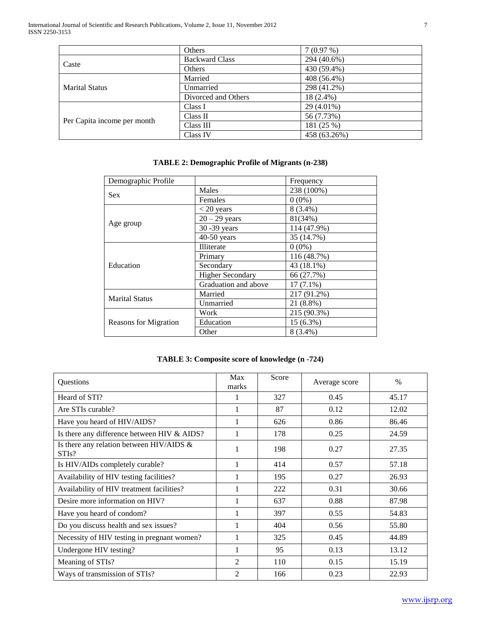| Others                | 7(0.97%)     |
|-----------------------|--------------|
| <b>Backward Class</b> | 294 (40.6%)  |
| Others                | 430 (59.4%)  |
| Married               | 408 (56.4%)  |
| Unmarried             | 298 (41.2%)  |
| Divorced and Others   | 18 (2.4%)    |
| Class I               | 29 (4.01%)   |
| Class II              | 56 (7.73%)   |
| Class III             | 181 (25 %)   |
| Class IV              | 458 (63.26%) |
|                       |              |

# **TABLE 2: Demographic Profile of Migrants (n-238)**

| Demographic Profile   |                         | Frequency   |  |
|-----------------------|-------------------------|-------------|--|
| <b>Sex</b>            | <b>Males</b>            | 238 (100%)  |  |
|                       | Females                 | $0(0\%)$    |  |
|                       | $< 20$ years            | 8 (3.4%)    |  |
|                       | $20 - 29$ years         | 81(34%)     |  |
| Age group             | 30 - 39 years           | 114 (47.9%) |  |
|                       | $40-50$ years           | 35 (14.7%)  |  |
|                       | Illiterate              | $0(0\%)$    |  |
|                       | Primary                 | 116 (48.7%) |  |
| Education             | Secondary               | 43 (18.1%)  |  |
|                       | <b>Higher Secondary</b> | 66 (27.7%)  |  |
|                       | Graduation and above    | $17(7.1\%)$ |  |
| <b>Marital Status</b> | Married                 | 217 (91.2%) |  |
|                       | Unmarried               | 21 (8.8%)   |  |
|                       | Work                    | 215 (90.3%) |  |
| Reasons for Migration | Education               | 15 (6.3%)   |  |
|                       | Other                   | $8(3.4\%)$  |  |

## **TABLE 3: Composite score of knowledge (n -724)**

| Questions                                                         | Max<br>marks   | Score | Average score | $\%$  |
|-------------------------------------------------------------------|----------------|-------|---------------|-------|
| Heard of STI?                                                     | 1              | 327   | 0.45          | 45.17 |
| Are STIs curable?                                                 | 1              | 87    | 0.12          | 12.02 |
| Have you heard of HIV/AIDS?                                       | 1              | 626   | 0.86          | 86.46 |
| Is there any difference between HIV & AIDS?                       | 1              | 178   | 0.25          | 24.59 |
| Is there any relation between HIV/AIDS $\&$<br>STI <sub>s</sub> ? | 1              | 198   | 0.27          | 27.35 |
| Is HIV/AIDs completely curable?                                   | 1              | 414   | 0.57          | 57.18 |
| Availability of HIV testing facilities?                           | 1              | 195   | 0.27          | 26.93 |
| Availability of HIV treatment facilities?                         | 1              | 222   | 0.31          | 30.66 |
| Desire more information on HIV?                                   | 1              | 637   | 0.88          | 87.98 |
| Have you heard of condom?                                         |                | 397   | 0.55          | 54.83 |
| Do you discuss health and sex issues?                             |                | 404   | 0.56          | 55.80 |
| Necessity of HIV testing in pregnant women?                       | 1              | 325   | 0.45          | 44.89 |
| Undergone HIV testing?                                            | 1              | 95    | 0.13          | 13.12 |
| Meaning of STIs?                                                  | $\overline{c}$ | 110   | 0.15          | 15.19 |
| Ways of transmission of STIs?                                     | $\mathfrak{D}$ | 166   | 0.23          | 22.93 |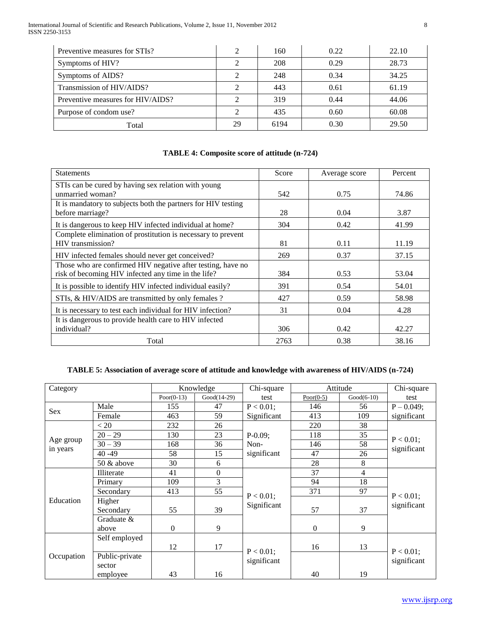International Journal of Scientific and Research Publications, Volume 2, Issue 11, November 2012 8 ISSN 2250-3153

| Preventive measures for STIs?     | C  | 160  | 0.22 | 22.10 |
|-----------------------------------|----|------|------|-------|
| Symptoms of HIV?                  |    | 208  | 0.29 | 28.73 |
| Symptoms of AIDS?                 |    | 248  | 0.34 | 34.25 |
| Transmission of HIV/AIDS?         |    | 443  | 0.61 | 61.19 |
| Preventive measures for HIV/AIDS? | C  | 319  | 0.44 | 44.06 |
| Purpose of condom use?            |    | 435  | 0.60 | 60.08 |
| Total                             | 29 | 6194 | 0.30 | 29.50 |

## **TABLE 4: Composite score of attitude (n-724)**

| <b>Statements</b>                                                                                                  | Score | Average score | Percent |
|--------------------------------------------------------------------------------------------------------------------|-------|---------------|---------|
| STIs can be cured by having sex relation with young<br>unmarried woman?                                            | 542   | 0.75          | 74.86   |
| It is mandatory to subjects both the partners for HIV testing<br>before marriage?                                  | 28    | 0.04          | 3.87    |
| It is dangerous to keep HIV infected individual at home?                                                           | 304   | 0.42          | 41.99   |
| Complete elimination of prostitution is necessary to prevent<br>HIV transmission?                                  | 81    | 0.11          | 11.19   |
| HIV infected females should never get conceived?                                                                   | 269   | 0.37          | 37.15   |
| Those who are confirmed HIV negative after testing, have no<br>risk of becoming HIV infected any time in the life? | 384   | 0.53          | 53.04   |
| It is possible to identify HIV infected individual easily?                                                         | 391   | 0.54          | 54.01   |
| STIs, & HIV/AIDS are transmitted by only females?                                                                  | 427   | 0.59          | 58.98   |
| It is necessary to test each individual for HIV infection?                                                         | 31    | 0.04          | 4.28    |
| It is dangerous to provide health care to HIV infected<br>individual?                                              | 306   | 0.42          | 42.27   |
| Total                                                                                                              | 2763  | 0.38          | 38.16   |

# **TABLE 5: Association of average score of attitude and knowledge with awareness of HIV/AIDS (n-724)**

| Category   |                          | Knowledge     |                  | Attitude<br>Chi-square |              | Chi-square   |                             |
|------------|--------------------------|---------------|------------------|------------------------|--------------|--------------|-----------------------------|
|            |                          | Poor $(0-13)$ | Good(14-29)      | test                   | Poor $(0-5)$ | $Good(6-10)$ | test                        |
|            | Male                     | 155           | 47               | $P < 0.01$ ;           | 146          | 56           | $P - 0.049$ ;               |
| Sex        | Female                   | 463           | 59               | Significant            | 413          | 109          | significant                 |
|            | < 20                     | 232           | 26               |                        | 220          | 38           |                             |
|            | $20 - 29$                | 130           | 23               | $P-0.09;$              | 118          | 35           |                             |
| Age group  | $30 - 39$                | 168           | 36               | Non-                   | 146          | 58           | $P < 0.01$ ;<br>significant |
| in years   | $40 - 49$                | 58            | 15               | significant            | 47           | 26           |                             |
|            | 50 & above               | 30            | 6                |                        | 28           | 8            |                             |
|            | Illiterate               | 41            | $\boldsymbol{0}$ | $P < 0.01$ ;           | 37           | 4            | $P < 0.01$ ;                |
|            | Primary                  | 109           | 3                |                        | 94           | 18           |                             |
|            | Secondary                | 413           | 55               |                        | 371          | 97           |                             |
| Education  | Higher<br>Secondary      | 55            | 39               | Significant            | 57           | 37           | significant                 |
|            | Graduate $&$<br>above    | $\mathbf{0}$  | 9                |                        | $\mathbf{0}$ | 9            |                             |
| Occupation | Self employed            | 12            | 17               |                        | 16           | 13           |                             |
|            |                          |               |                  | $P < 0.01$ ;           |              |              | $P < 0.01$ ;                |
|            | Public-private<br>sector |               |                  | significant            |              |              | significant                 |
|            | employee                 | 43            | 16               |                        | 40           | 19           |                             |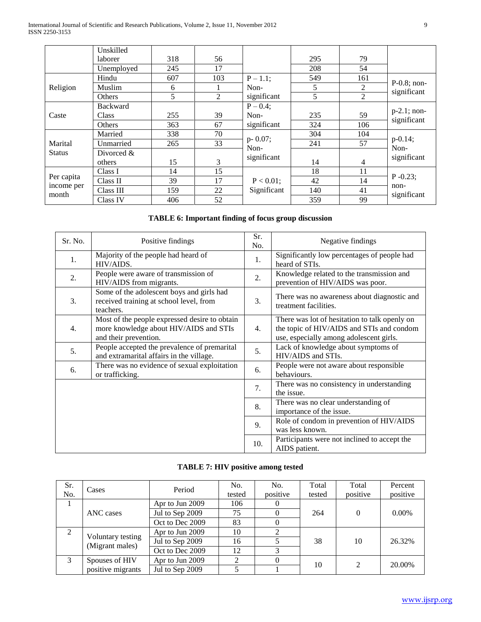International Journal of Scientific and Research Publications, Volume 2, Issue 11, November 2012 9 ISSN 2250-3153

|                                   | Unskilled       |     |     |              |     |                |                               |
|-----------------------------------|-----------------|-----|-----|--------------|-----|----------------|-------------------------------|
|                                   | laborer         | 318 | 56  |              | 295 | 79             |                               |
|                                   | Unemployed      | 245 | 17  |              | 208 | 54             |                               |
|                                   | Hindu           | 607 | 103 | $P - 1.1$ ;  | 549 | 161            | $P-0.8;$ non-                 |
| Religion                          | <b>Muslim</b>   | 6   |     | Non-         | 5   | 2              | significant                   |
|                                   | Others          | 5   | 2   | significant  | 5   | 2              |                               |
|                                   | <b>Backward</b> |     |     | $P - 0.4$ ;  |     |                |                               |
| Caste                             | Class           | 255 | 39  | Non-         | 235 | 59             | $p-2.1$ ; non-<br>significant |
|                                   | Others          | 363 | 67  | significant  | 324 | 106            |                               |
|                                   | Married         | 338 | 70  | $p - 0.07$ ; | 304 | 104            | $p-0.14;$                     |
| Marital                           | Unmarried       | 265 | 33  | Non-         | 241 | 57             | Non-                          |
| <b>Status</b>                     | Divorced $\&$   |     |     | significant  |     |                | significant                   |
|                                   | others          | 15  | 3   |              | 14  | $\overline{4}$ |                               |
|                                   | Class I         | 14  | 15  |              | 18  | 11             |                               |
| Per capita<br>income per<br>month | Class II        | 39  | 17  | $P < 0.01$ ; | 42  | 14             | $P - 0.23$ ;                  |
|                                   | Class III       | 159 | 22  | Significant  | 140 | 41             | non-<br>significant           |
|                                   | Class IV        | 406 | 52  |              | 359 | 99             |                               |

# **TABLE 6: Important finding of focus group discussion**

| Sr. No. | Positive findings                                                                                                | Sr.<br>No. | Negative findings                                                                                                                     |
|---------|------------------------------------------------------------------------------------------------------------------|------------|---------------------------------------------------------------------------------------------------------------------------------------|
| 1.      | Majority of the people had heard of<br>HIV/AIDS.                                                                 | 1.         | Significantly low percentages of people had<br>heard of STIs.                                                                         |
| 2.      | People were aware of transmission of<br>HIV/AIDS from migrants.                                                  | 2.         | Knowledge related to the transmission and<br>prevention of HIV/AIDS was poor.                                                         |
| 3.      | Some of the adolescent boys and girls had<br>received training at school level, from<br>teachers.                | 3.         | There was no awareness about diagnostic and<br>treatment facilities.                                                                  |
| 4.      | Most of the people expressed desire to obtain<br>more knowledge about HIV/AIDS and STIs<br>and their prevention. | 4.         | There was lot of hesitation to talk openly on<br>the topic of HIV/AIDS and STIs and condom<br>use, especially among adolescent girls. |
| 5.      | People accepted the prevalence of premarital<br>and extramarital affairs in the village.                         | 5.         | Lack of knowledge about symptoms of<br>HIV/AIDS and STIs.                                                                             |
| 6.      | There was no evidence of sexual exploitation<br>or trafficking.                                                  | 6.         | People were not aware about responsible<br>behaviours.                                                                                |
|         |                                                                                                                  | 7.         | There was no consistency in understanding<br>the issue.                                                                               |
|         |                                                                                                                  | 8.         | There was no clear understanding of<br>importance of the issue.                                                                       |
|         |                                                                                                                  | 9.         | Role of condom in prevention of HIV/AIDS<br>was less known.                                                                           |
|         |                                                                                                                  | 10.        | Participants were not inclined to accept the<br>AIDS patient.                                                                         |

## **TABLE 7: HIV positive among tested**

| Sr. |                                      | Period          | No.    | No.      | Total  | Total    | Percent  |
|-----|--------------------------------------|-----------------|--------|----------|--------|----------|----------|
| No. | Cases                                |                 | tested | positive | tested | positive | positive |
|     |                                      | Apr to Jun 2009 | 106    |          |        |          |          |
|     | ANC cases                            | Jul to Sep 2009 | 75     |          | 264    | 0        | $0.00\%$ |
|     |                                      | Oct to Dec 2009 | 83     |          |        |          |          |
| 2   | Voluntary testing<br>(Migrant males) | Apr to Jun 2009 | 10     |          |        |          |          |
|     |                                      | Jul to Sep 2009 | 16     |          | 38     | 10       | 26.32%   |
|     |                                      | Oct to Dec 2009 | 12     |          |        |          |          |
| 3   | Spouses of HIV                       | Apr to Jun 2009 | ↑      |          | 10     | 2        | 20.00%   |
|     | positive migrants                    | Jul to Sep 2009 |        |          |        |          |          |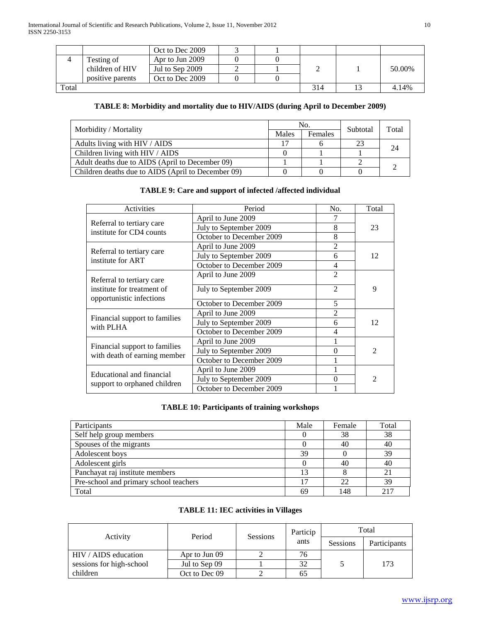|       |                  | Oct to Dec 2009 |  |     |        |
|-------|------------------|-----------------|--|-----|--------|
|       | Testing of       | Apr to Jun 2009 |  |     |        |
|       | children of HIV  | Jul to Sep 2009 |  |     | 50.00% |
|       | positive parents | Oct to Dec 2009 |  |     |        |
| Total |                  |                 |  | 314 | 4.14%  |

## **TABLE 8: Morbidity and mortality due to HIV/AIDS (during April to December 2009)**

| Morbidity / Mortality                              |  | No.     | Subtotal | Total |
|----------------------------------------------------|--|---------|----------|-------|
|                                                    |  | Females |          |       |
| Adults living with HIV / AIDS                      |  |         | 23       | 24    |
| Children living with HIV / AIDS                    |  |         |          |       |
| Adult deaths due to AIDS (April to December 09)    |  |         |          |       |
| Children deaths due to AIDS (April to December 09) |  |         |          |       |

## **TABLE 9: Care and support of infected /affected individual**

| Activities                                                    | Period                   | No.            | Total          |  |
|---------------------------------------------------------------|--------------------------|----------------|----------------|--|
|                                                               | April to June 2009       | 7              |                |  |
| Referral to tertiary care<br>institute for CD4 counts         | July to September 2009   | 8              | 23             |  |
|                                                               | October to December 2009 | 8              |                |  |
|                                                               | April to June 2009       | $\overline{2}$ |                |  |
| Referral to tertiary care<br>institute for ART                | July to September 2009   | 6              | 12             |  |
|                                                               | October to December 2009 | 4              |                |  |
| Referral to tertiary care                                     | April to June 2009       | $\overline{2}$ |                |  |
| institute for treatment of<br>opportunistic infections        | July to September 2009   | $\overline{2}$ | 9              |  |
|                                                               | October to December 2009 | 5              |                |  |
|                                                               | April to June 2009       | $\mathfrak{D}$ | 12             |  |
| Financial support to families<br>with PLHA                    | July to September 2009   | 6              |                |  |
|                                                               | October to December 2009 | $\overline{4}$ |                |  |
|                                                               | April to June 2009       |                |                |  |
| Financial support to families<br>with death of earning member | July to September 2009   | $\theta$       | $\mathfrak{D}$ |  |
|                                                               | October to December 2009 |                |                |  |
| Educational and financial                                     | April to June 2009       |                |                |  |
|                                                               | July to September 2009   | $\theta$       | 2              |  |
| support to orphaned children                                  | October to December 2009 |                |                |  |

## **TABLE 10: Participants of training workshops**

| Participants                           | Male | Female | Total |
|----------------------------------------|------|--------|-------|
| Self help group members                |      | 38     | 38    |
| Spouses of the migrants                |      | 40     | 40    |
| Adolescent boys                        | 39   |        | 39    |
| Adolescent girls                       |      | 40     | 40    |
| Panchayat raj institute members        | 13   |        | 21    |
| Pre-school and primary school teachers |      | 22     | 39    |
| Total                                  | 69   | 148    | 217   |

# **TABLE 11: IEC activities in Villages**

| Activity                 | Period        | <b>Sessions</b> | Particip | Total           |              |
|--------------------------|---------------|-----------------|----------|-----------------|--------------|
|                          |               |                 | ants     | <b>Sessions</b> | Participants |
| HIV / AIDS education     | Apr to Jun 09 |                 | 76       |                 |              |
| sessions for high-school | Jul to Sep 09 |                 | 32       |                 | 173          |
| children                 | Oct to Dec 09 |                 | 65       |                 |              |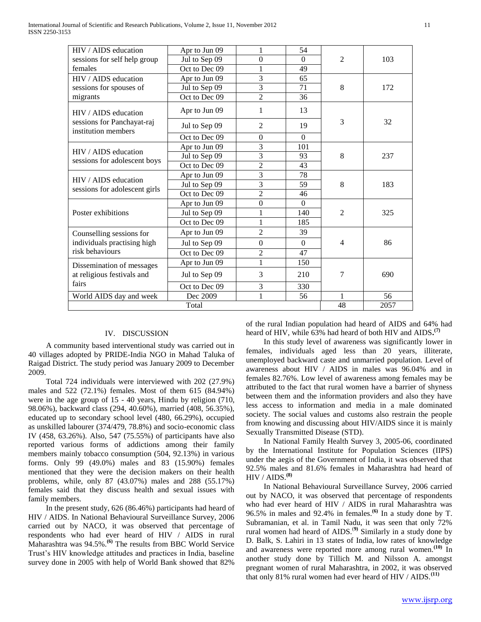| HIV / AIDS education                              | Apr to Jun 09 | 1                | 54       |                |      |
|---------------------------------------------------|---------------|------------------|----------|----------------|------|
| sessions for self help group                      | Jul to Sep 09 | $\theta$         | $\Omega$ | $\overline{2}$ | 103  |
| females                                           | Oct to Dec 09 | 1                | 49       |                |      |
| HIV / AIDS education                              | Apr to Jun 09 | 3                | 65       |                |      |
| sessions for spouses of                           | Jul to Sep 09 | 3                | 71       | 8              | 172  |
| migrants                                          | Oct to Dec 09 | $\overline{2}$   | 36       |                |      |
| HIV / AIDS education                              | Apr to Jun 09 | $\mathbf{1}$     | 13       |                |      |
| sessions for Panchayat-raj<br>institution members | Jul to Sep 09 | $\overline{2}$   | 19       | 3              | 32   |
|                                                   | Oct to Dec 09 | $\boldsymbol{0}$ | $\Omega$ |                |      |
| HIV / AIDS education                              | Apr to Jun 09 | 3                | 101      |                |      |
| sessions for adolescent boys                      | Jul to Sep 09 | 3                | 93       | 8              | 237  |
|                                                   | Oct to Dec 09 | $\overline{2}$   | 43       | 8              |      |
| HIV / AIDS education                              | Apr to Jun 09 | $\overline{3}$   | 78       |                |      |
| sessions for adolescent girls                     | Jul to Sep 09 | $\overline{3}$   | 59       |                | 183  |
|                                                   | Oct to Dec 09 | $\overline{2}$   | 46       |                |      |
|                                                   | Apr to Jun 09 | $\overline{0}$   | $\Omega$ |                |      |
| Poster exhibitions                                | Jul to Sep 09 | 1                | 140      | $\overline{2}$ | 325  |
|                                                   | Oct to Dec 09 | 1                | 185      |                |      |
| Counselling sessions for                          | Apr to Jun 09 | $\overline{2}$   | 39       |                |      |
| individuals practising high                       | Jul to Sep 09 | $\theta$         | $\Omega$ | 4              | 86   |
| risk behaviours                                   | Oct to Dec 09 | $\overline{2}$   | 47       |                |      |
| Dissemination of messages                         | Apr to Jun 09 | 1                | 150      |                |      |
| at religious festivals and                        | Jul to Sep 09 | 3                | 210      | 7              | 690  |
| fairs                                             | Oct to Dec 09 | 3                | 330      |                |      |
| World AIDS day and week                           | Dec 2009      | 1                | 56       | 1              | 56   |
|                                                   | Total         |                  |          | 48             | 2057 |
|                                                   |               |                  |          |                |      |

#### IV. DISCUSSION

 A community based interventional study was carried out in 40 villages adopted by PRIDE-India NGO in Mahad Taluka of Raigad District. The study period was January 2009 to December 2009.

 Total 724 individuals were interviewed with 202 (27.9%) males and 522 (72.1%) females. Most of them 615 (84.94%) were in the age group of 15 - 40 years, Hindu by religion (710, 98.06%), backward class (294, 40.60%), married (408, 56.35%), educated up to secondary school level (480, 66.29%), occupied as unskilled labourer (374/479, 78.8%) and socio-economic class IV (458, 63.26%). Also, 547 (75.55%) of participants have also reported various forms of addictions among their family members mainly tobacco consumption (504, 92.13%) in various forms. Only 99 (49.0%) males and 83 (15.90%) females mentioned that they were the decision makers on their health problems, while, only 87 (43.07%) males and 288 (55.17%) females said that they discuss health and sexual issues with family members.

 In the present study, 626 (86.46%) participants had heard of HIV / AIDS. In National Behavioural Surveillance Survey, 2006 carried out by NACO, it was observed that percentage of respondents who had ever heard of HIV / AIDS in rural Maharashtra was 94.5%.**(6)** The results from BBC World Service Trust"s HIV knowledge attitudes and practices in India, baseline survey done in 2005 with help of World Bank showed that 82%

of the rural Indian population had heard of AIDS and 64% had heard of HIV, while 63% had heard of both HIV and AIDS**. (7)**

 In this study level of awareness was significantly lower in females, individuals aged less than 20 years, illiterate, unemployed backward caste and unmarried population. Level of awareness about HIV / AIDS in males was 96.04% and in females 82.76%. Low level of awareness among females may be attributed to the fact that rural women have a barrier of shyness between them and the information providers and also they have less access to information and media in a male dominated society. The social values and customs also restrain the people from knowing and discussing about HIV/AIDS since it is mainly Sexually Transmitted Disease (STD).

 In National Family Health Survey 3, 2005-06, coordinated by the International Institute for Population Sciences (IIPS) under the aegis of the Government of India, it was observed that 92.5% males and 81.6% females in Maharashtra had heard of HIV / AIDS.**(8)**

 In National Behavioural Surveillance Survey, 2006 carried out by NACO, it was observed that percentage of respondents who had ever heard of HIV / AIDS in rural Maharashtra was 96.5% in males and 92.4% in females.**(6)** In a study done by T. Subramanian, et al. in Tamil Nadu, it was seen that only 72% rural women had heard of AIDS.(**9)** Similarly in a study done by D. Balk, S. Lahiri in 13 states of India, low rates of knowledge and awareness were reported more among rural women.**(10)** In another study done by Tillich M. and Nilsson A. amongst pregnant women of rural Maharashtra, in 2002, it was observed that only 81% rural women had ever heard of HIV / AIDS.**(11)**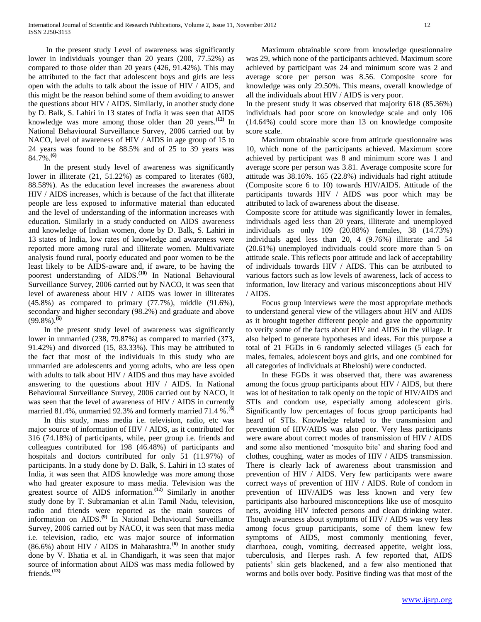In the present study Level of awareness was significantly lower in individuals younger than 20 years (200, 77.52%) as compared to those older than 20 years (426, 91.42%). This may be attributed to the fact that adolescent boys and girls are less open with the adults to talk about the issue of HIV / AIDS, and this might be the reason behind some of them avoiding to answer the questions about HIV / AIDS. Similarly, in another study done by D. Balk, S. Lahiri in 13 states of India it was seen that AIDS knowledge was more among those older than 20 years.**(12)** In National Behavioural Surveillance Survey, 2006 carried out by NACO, level of awareness of HIV / AIDS in age group of 15 to 24 years was found to be 88.5% and of 25 to 39 years was 84.7%.**(6)**

 In the present study level of awareness was significantly lower in illiterate (21, 51.22%) as compared to literates (683, 88.58%). As the education level increases the awareness about HIV / AIDS increases, which is because of the fact that illiterate people are less exposed to informative material than educated and the level of understanding of the information increases with education. Similarly in a study conducted on AIDS awareness and knowledge of Indian women, done by D. Balk, S. Lahiri in 13 states of India, low rates of knowledge and awareness were reported more among rural and illiterate women. Multivariate analysis found rural, poorly educated and poor women to be the least likely to be AIDS-aware and, if aware, to be having the poorest understanding of AIDS.<sup>(10)</sup> In National Behavioural Surveillance Survey, 2006 carried out by NACO, it was seen that level of awareness about HIV / AIDS was lower in illiterates (45.8%) as compared to primary (77.7%), middle (91.6%), secondary and higher secondary (98.2%) and graduate and above (99.8%).**(6)**

 In the present study level of awareness was significantly lower in unmarried (238, 79.87%) as compared to married (373, 91.42%) and divorced (15, 83.33%). This may be attributed to the fact that most of the individuals in this study who are unmarried are adolescents and young adults, who are less open with adults to talk about HIV / AIDS and thus may have avoided answering to the questions about HIV / AIDS. In National Behavioural Surveillance Survey, 2006 carried out by NACO, it was seen that the level of awareness of HIV / AIDS in currently married 81.4%, unmarried 92.3% and formerly married 71.4 %.(**6)**

 In this study, mass media i.e. television, radio, etc was major source of information of HIV / AIDS, as it contributed for 316 (74.18%) of participants, while, peer group i.e. friends and colleagues contributed for 198 (46.48%) of participants and hospitals and doctors contributed for only 51 (11.97%) of participants. In a study done by D. Balk, S. Lahiri in 13 states of India, it was seen that AIDS knowledge was more among those who had greater exposure to mass media. Television was the greatest source of AIDS information.**(12)** Similarly in another study done by T. Subramanian et al.in Tamil Nadu, television, radio and friends were reported as the main sources of information on AIDS.**(9)** In National Behavioural Surveillance Survey, 2006 carried out by NACO, it was seen that mass media i.e. television, radio, etc was major source of information (86.6%) about HIV / AIDS in Maharashtra.<sup>(6)</sup> In another study done by V. Bhatia et al. in Chandigarh, it was seen that major source of information about AIDS was mass media followed by friends.**(13)**

 Maximum obtainable score from knowledge questionnaire was 29, which none of the participants achieved. Maximum score achieved by participant was 24 and minimum score was 2 and average score per person was 8.56. Composite score for knowledge was only 29.50%. This means, overall knowledge of all the individuals about HIV / AIDS is very poor.

In the present study it was observed that majority 618 (85.36%) individuals had poor score on knowledge scale and only 106 (14.64%) could score more than 13 on knowledge composite score scale.

 Maximum obtainable score from attitude questionnaire was 10, which none of the participants achieved. Maximum score achieved by participant was 8 and minimum score was 1 and average score per person was 3.81. Average composite score for attitude was 38.16%. 165 (22.8%) individuals had right attitude (Composite score 6 to 10) towards HIV/AIDS. Attitude of the participants towards HIV / AIDS was poor which may be attributed to lack of awareness about the disease.

Composite score for attitude was significantly lower in females, individuals aged less than 20 years, illiterate and unemployed individuals as only 109 (20.88%) females, 38 (14.73%) individuals aged less than 20, 4 (9.76%) illiterate and 54 (20.61%) unemployed individuals could score more than 5 on attitude scale. This reflects poor attitude and lack of acceptability of individuals towards HIV / AIDS. This can be attributed to various factors such as low levels of awareness, lack of access to information, low literacy and various misconceptions about HIV / AIDS.

 Focus group interviews were the most appropriate methods to understand general view of the villagers about HIV and AIDS as it brought together different people and gave the opportunity to verify some of the facts about HIV and AIDS in the village. It also helped to generate hypotheses and ideas. For this purpose a total of 21 FGDs in 6 randomly selected villages (5 each for males, females, adolescent boys and girls, and one combined for all categories of individuals at Bheloshi) were conducted.

 In these FGDs it was observed that, there was awareness among the focus group participants about HIV / AIDS, but there was lot of hesitation to talk openly on the topic of HIV/AIDS and STIs and condom use, especially among adolescent girls. Significantly low percentages of focus group participants had heard of STIs. Knowledge related to the transmission and prevention of HIV/AIDS was also poor. Very less participants were aware about correct modes of transmission of HIV / AIDS and some also mentioned "mosquito bite" and sharing food and clothes, coughing, water as modes of HIV / AIDS transmission. There is clearly lack of awareness about transmission and prevention of HIV / AIDS. Very few participants were aware correct ways of prevention of HIV / AIDS. Role of condom in prevention of HIV/AIDS was less known and very few participants also harboured misconceptions like use of mosquito nets, avoiding HIV infected persons and clean drinking water. Though awareness about symptoms of HIV / AIDS was very less among focus group participants, some of them knew few symptoms of AIDS, most commonly mentioning fever, diarrhoea, cough, vomiting, decreased appetite, weight loss, tuberculosis, and Herpes rash. A few reported that, AIDS patients" skin gets blackened, and a few also mentioned that worms and boils over body. Positive finding was that most of the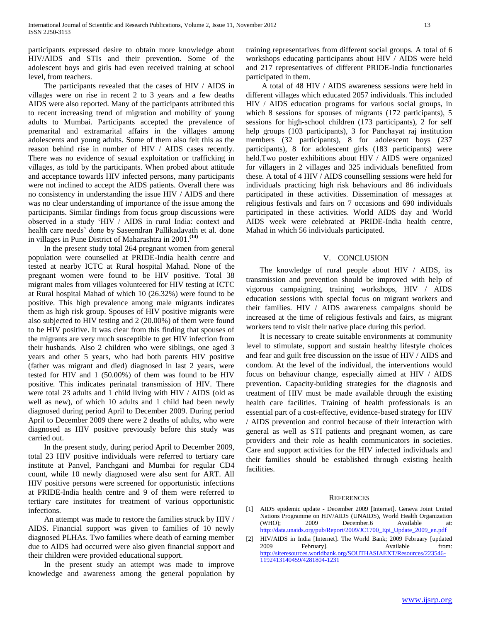participants expressed desire to obtain more knowledge about HIV/AIDS and STIs and their prevention. Some of the adolescent boys and girls had even received training at school level, from teachers.

 The participants revealed that the cases of HIV / AIDS in villages were on rise in recent 2 to 3 years and a few deaths AIDS were also reported. Many of the participants attributed this to recent increasing trend of migration and mobility of young adults to Mumbai. Participants accepted the prevalence of premarital and extramarital affairs in the villages among adolescents and young adults. Some of them also felt this as the reason behind rise in number of HIV / AIDS cases recently. There was no evidence of sexual exploitation or trafficking in villages, as told by the participants. When probed about attitude and acceptance towards HIV infected persons, many participants were not inclined to accept the AIDS patients. Overall there was no consistency in understanding the issue HIV / AIDS and there was no clear understanding of importance of the issue among the participants. Similar findings from focus group discussions were observed in a study "HIV / AIDS in rural India: context and health care needs" done by Saseendran Pallikadavath et al. done in villages in Pune District of Maharashtra in 2001.**(14)**

 In the present study total 264 pregnant women from general population were counselled at PRIDE-India health centre and tested at nearby ICTC at Rural hospital Mahad. None of the pregnant women were found to be HIV positive. Total 38 migrant males from villages volunteered for HIV testing at ICTC at Rural hospital Mahad of which 10 (26.32%) were found to be positive. This high prevalence among male migrants indicates them as high risk group. Spouses of HIV positive migrants were also subjected to HIV testing and 2 (20.00%) of them were found to be HIV positive. It was clear from this finding that spouses of the migrants are very much susceptible to get HIV infection from their husbands. Also 2 children who were siblings, one aged 3 years and other 5 years, who had both parents HIV positive (father was migrant and died) diagnosed in last 2 years, were tested for HIV and 1 (50.00%) of them was found to be HIV positive. This indicates perinatal transmission of HIV. There were total 23 adults and 1 child living with HIV / AIDS (old as well as new), of which 10 adults and 1 child had been newly diagnosed during period April to December 2009. During period April to December 2009 there were 2 deaths of adults, who were diagnosed as HIV positive previously before this study was carried out.

 In the present study, during period April to December 2009, total 23 HIV positive individuals were referred to tertiary care institute at Panvel, Panchgani and Mumbai for regular CD4 count, while 10 newly diagnosed were also sent for ART. All HIV positive persons were screened for opportunistic infections at PRIDE-India health centre and 9 of them were referred to tertiary care institutes for treatment of various opportunistic infections.

 An attempt was made to restore the families struck by HIV / AIDS. Financial support was given to families of 10 newly diagnosed PLHAs. Two families where death of earning member due to AIDS had occurred were also given financial support and their children were provided educational support.

 In the present study an attempt was made to improve knowledge and awareness among the general population by training representatives from different social groups. A total of 6 workshops educating participants about HIV / AIDS were held and 217 representatives of different PRIDE-India functionaries participated in them.

 A total of 48 HIV / AIDS awareness sessions were held in different villages which educated 2057 individuals. This included HIV / AIDS education programs for various social groups, in which 8 sessions for spouses of migrants (172 participants), 5 sessions for high-school children (173 participants), 2 for self help groups (103 participants), 3 for Panchayat raj institution members (32 participants), 8 for adolescent boys (237 participants), 8 for adolescent girls (183 participants) were held.Two poster exhibitions about HIV / AIDS were organized for villagers in 2 villages and 325 individuals benefitted from these. A total of 4 HIV / AIDS counselling sessions were held for individuals practicing high risk behaviours and 86 individuals participated in these activities. Dissemination of messages at religious festivals and fairs on 7 occasions and 690 individuals participated in these activities. World AIDS day and World AIDS week were celebrated at PRIDE-India health centre, Mahad in which 56 individuals participated.

#### V. CONCLUSION

 The knowledge of rural people about HIV / AIDS, its transmission and prevention should be improved with help of vigorous campaigning, training workshops, HIV / AIDS education sessions with special focus on migrant workers and their families. HIV / AIDS awareness campaigns should be increased at the time of religious festivals and fairs, as migrant workers tend to visit their native place during this period.

 It is necessary to create suitable environments at community level to stimulate, support and sustain healthy lifestyle choices and fear and guilt free discussion on the issue of HIV / AIDS and condom. At the level of the individual, the interventions would focus on behaviour change, especially aimed at HIV / AIDS prevention. Capacity-building strategies for the diagnosis and treatment of HIV must be made available through the existing health care facilities. Training of health professionals is an essential part of a cost-effective, evidence-based strategy for HIV / AIDS prevention and control because of their interaction with general as well as STI patients and pregnant women, as care providers and their role as health communicators in societies. Care and support activities for the HIV infected individuals and their families should be established through existing health facilities.

#### **REFERENCES**

- [1] AIDS epidemic update December 2009 [Internet]. Geneva Joint United Nations Programme on HIV/AIDS (UNAIDS), World Health Organization (WHO); 2009 December.6 Available at: (WHO); 2009 December.6 Available at: [http://data.unaids.org/pub/Report/2009/JC1700\\_Epi\\_Update\\_2009\\_en.pdf](http://data.unaids.org/pub/Report/2009/JC1700_Epi_Update_2009_en.pdf)
- [2] HIV/AIDS in India [Internet]. The World Bank; 2009 February [updated 2009 February]. Available from: [http://siteresources.worldbank.org/SOUTHASIAEXT/Resources/223546-](http://siteresources.worldbank.org/SOUTHASIAEXT/Resources/223546-1192413140459/4281804-1231) [1192413140459/4281804-1231](http://siteresources.worldbank.org/SOUTHASIAEXT/Resources/223546-1192413140459/4281804-1231)